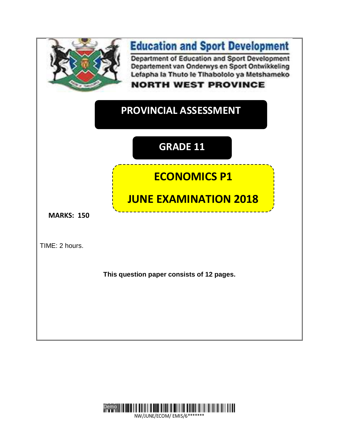

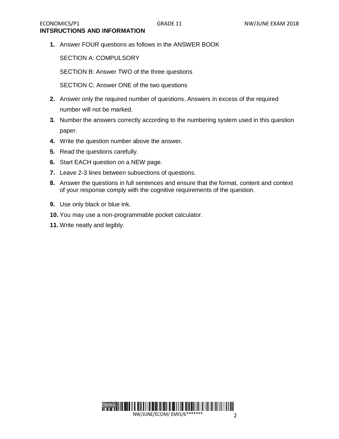**1.** Answer FOUR questions as follows in the ANSWER BOOK

SECTION A: COMPULSORY

SECTION B: Answer TWO of the three questions

SECTION C: Answer ONE of the two questions

- **2.** Answer only the required number of questions. Answers in excess of the required number will not be marked.
- **3.** Number the answers correctly according to the numbering system used in this question paper.
- **4.** Write the question number above the answer.
- **5.** Read the questions carefully.
- **6.** Start EACH question on a NEW page.
- **7.** Leave 2-3 lines between subsections of questions.
- **8.** Answer the questions in full sentences and ensure that the format, content and context of your response comply with the cognitive requirements of the question.
- **9.** Use only black or blue ink.
- **10.** You may use a non-programmable pocket calculator.
- **11.** Write neatly and legibly.

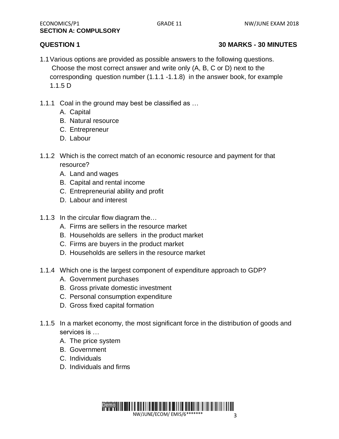# **QUESTION 1 30 MARKS - 30 MINUTES**

- 1.1Various options are provided as possible answers to the following questions. Choose the most correct answer and write only (A, B, C or D) next to the corresponding question number (1.1.1 -1.1.8) in the answer book, for example 1.1.5 D
- 1.1.1 Coal in the ground may best be classified as …
	- A. Capital
	- B. Natural resource
	- C. Entrepreneur
	- D. Labour
- 1.1.2 Which is the correct match of an economic resource and payment for that resource?
	- A. Land and wages
	- B. Capital and rental income
	- C. Entrepreneurial ability and profit
	- D. Labour and interest
- 1.1.3 In the circular flow diagram the…
	- A. Firms are sellers in the resource market
	- B. Households are sellers in the product market
	- C. Firms are buyers in the product market
	- D. Households are sellers in the resource market
- 1.1.4 Which one is the largest component of expenditure approach to GDP?
	- A. Government purchases
	- B. Gross private domestic investment
	- C. Personal consumption expenditure
	- D. Gross fixed capital formation
- 1.1.5 In a market economy, the most significant force in the distribution of goods and services is …
	- A. The price system
	- B. Government
	- C. Individuals
	- D. Individuals and firms

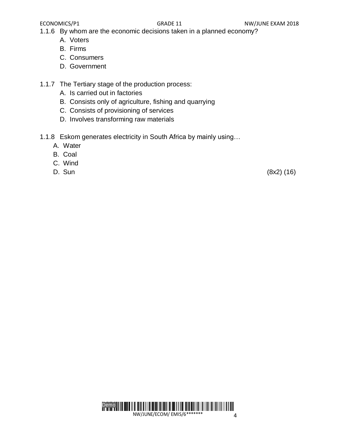1.1.6 By whom are the economic decisions taken in a planned economy?

- A. Voters
- B. Firms
- C. Consumers
- D. Government
- 1.1.7 The Tertiary stage of the production process:
	- A. Is carried out in factories
	- B. Consists only of agriculture, fishing and quarrying
	- C. Consists of provisioning of services
	- D. Involves transforming raw materials
- 1.1.8 Eskom generates electricity in South Africa by mainly using…
	- A. Water
	- B. Coal
	- C. Wind
	-

D. Sun (8x2) (16)

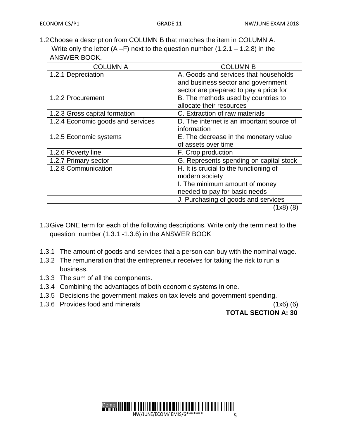1.2Choose a description from COLUMN B that matches the item in COLUMN A. Write only the letter  $(A - F)$  next to the question number  $(1.2.1 - 1.2.8)$  in the ANSWER BOOK.

| <b>COLUMN A</b>                   | <b>COLUMN B</b>                           |
|-----------------------------------|-------------------------------------------|
| 1.2.1 Depreciation                | A. Goods and services that households     |
|                                   | and business sector and government        |
|                                   | sector are prepared to pay a price for    |
| 1.2.2 Procurement                 | B. The methods used by countries to       |
|                                   | allocate their resources                  |
| 1.2.3 Gross capital formation     | C. Extraction of raw materials            |
| 1.2.4 Economic goods and services | D. The internet is an important source of |
|                                   | information                               |
| 1.2.5 Economic systems            | E. The decrease in the monetary value     |
|                                   | of assets over time                       |
| 1.2.6 Poverty line                | F. Crop production                        |
| 1.2.7 Primary sector              | G. Represents spending on capital stock   |
| 1.2.8 Communication               | H. It is crucial to the functioning of    |
|                                   | modern society                            |
|                                   | I. The minimum amount of money            |
|                                   | needed to pay for basic needs             |
|                                   | J. Purchasing of goods and services       |
|                                   | (1x8)<br>(8)                              |

- 1.3Give ONE term for each of the following descriptions. Write only the term next to the question number (1.3.1 -1.3.6) in the ANSWER BOOK
- 1.3.1 The amount of goods and services that a person can buy with the nominal wage.
- 1.3.2 The remuneration that the entrepreneur receives for taking the risk to run a business.
- 1.3.3 The sum of all the components.
- 1.3.4 Combining the advantages of both economic systems in one.
- 1.3.5 Decisions the government makes on tax levels and government spending.
- 1.3.6 Provides food and minerals (1x6) (6)

 **TOTAL SECTION A: 30**

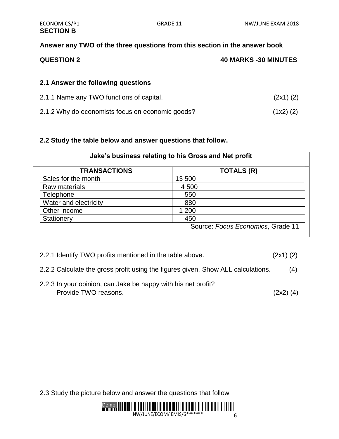# **Answer any TWO of the three questions from this section in the answer book**

| <b>QUESTION 2</b> | <b>40 MARKS -30 MINUTES</b> |
|-------------------|-----------------------------|
|                   |                             |

## **2.1 Answer the following questions**

| 2.1.1 Name any TWO functions of capital.         | (2x1)(2)    |
|--------------------------------------------------|-------------|
| 2.1.2 Why do economists focus on economic goods? | $(1x2)$ (2) |

### **2.2 Study the table below and answer questions that follow.**

| <b>TRANSACTIONS</b>   | <b>TOTALS (R)</b> |
|-----------------------|-------------------|
| Sales for the month   | 13 500            |
| Raw materials         | 4 500             |
| Telephone             | 550               |
| Water and electricity | 880               |
| Other income          | 1 200             |
| Stationery            | 450               |

- 2.2.1 Identify TWO profits mentioned in the table above. (2x1) (2)
- 2.2.2 Calculate the gross profit using the figures given. Show ALL calculations. (4)
- 2.2.3 In your opinion, can Jake be happy with his net profit? Provide TWO reasons. (2x2) (4)

2.3 Study the picture below and answer the questions that follow

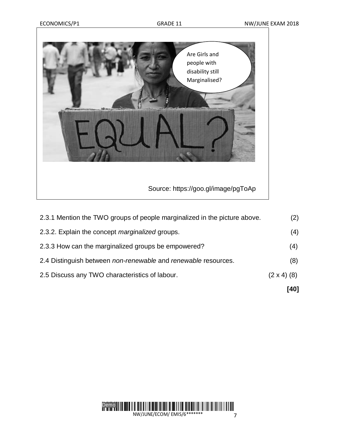

|                                                                           | [40]               |
|---------------------------------------------------------------------------|--------------------|
| 2.5 Discuss any TWO characteristics of labour.                            | $(2 \times 4)$ (8) |
| 2.4 Distinguish between non-renewable and renewable resources.            | (8)                |
| 2.3.3 How can the marginalized groups be empowered?                       | (4)                |
| 2.3.2. Explain the concept marginalized groups.                           | (4)                |
| 2.3.1 Mention the TWO groups of people marginalized in the picture above. | (2)                |

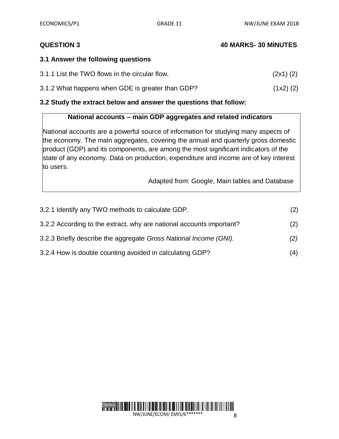## **QUESTION 3 40 MARKS- 30 MINUTES**

### **3.1 Answer the following questions**

| 3.1.1 List the TWO flows in the circular flow. | (2x1)(2) |
|------------------------------------------------|----------|
|------------------------------------------------|----------|

3.1.2 What happens when GDE is greater than GDP? (1x2) (2)

### **3.2 Study the extract below and answer the questions that follow:**

# **National accounts – main GDP aggregates and related indicators**

National accounts are a powerful source of information for studying many aspects of the economy. The main aggregates, covering the annual and quarterly gross domestic product (GDP) and its components, are among the most significant indicators of the state of any economy. Data on production, expenditure and income are of key interest to users.

Adapted from: Google, Main tables and Database

| 3.2.1 Identify any TWO methods to calculate GDP.                     | (2) |
|----------------------------------------------------------------------|-----|
| 3.2.2 According to the extract, why are national accounts important? | (2) |
| 3.2.3 Briefly describe the aggregate Gross National Income (GNI).    | (2) |
| 3.2.4 How is double counting avoided in calculating GDP?             | (4) |

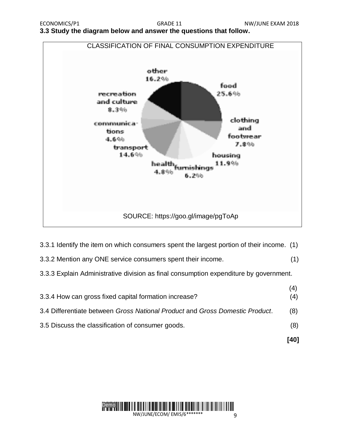**3.3 Study the diagram below and answer the questions that follow.**



- 3.3.1 Identify the item on which consumers spent the largest portion of their income. (1)
- 3.3.2 Mention any ONE service consumers spent their income. (1)
- 3.3.3 Explain Administrative division as final consumption expenditure by government.

|                                                                              | [40]       |
|------------------------------------------------------------------------------|------------|
| 3.5 Discuss the classification of consumer goods.                            | (8)        |
| 3.4 Differentiate between Gross National Product and Gross Domestic Product. | (8)        |
| 3.3.4 How can gross fixed capital formation increase?                        | (4)<br>(4) |

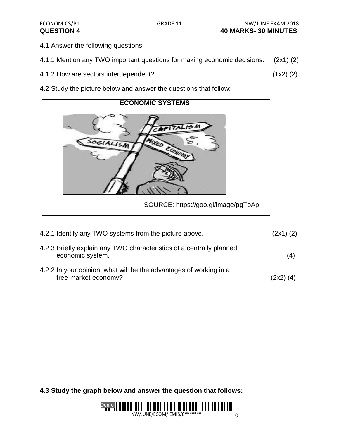- 4.1 Answer the following questions
- 4.1.1 Mention any TWO important questions for making economic decisions. (2x1) (2)
- 4.1.2 How are sectors interdependent? (1x2) (2)
- 4.2 Study the picture below and answer the questions that follow:



| 4.2.1 Identify any TWO systems from the picture above.                                     | $(2x1)$ $(2)$ |
|--------------------------------------------------------------------------------------------|---------------|
| 4.2.3 Briefly explain any TWO characteristics of a centrally planned<br>economic system.   | (4)           |
| 4.2.2 In your opinion, what will be the advantages of working in a<br>free-market economy? | $(2x2)$ $(4)$ |

**4.3 Study the graph below and answer the question that follows:** 

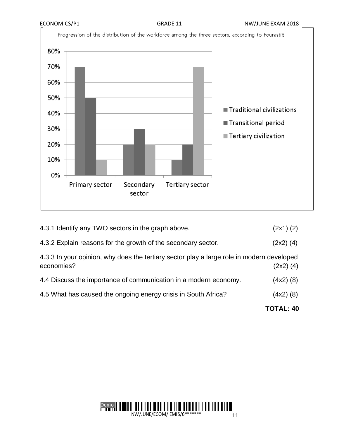

| 4.3.1 Identify any TWO sectors in the graph above.                                                      | $(2x1)$ $(2)$ |
|---------------------------------------------------------------------------------------------------------|---------------|
| 4.3.2 Explain reasons for the growth of the secondary sector.                                           | $(2x2)$ $(4)$ |
| 4.3.3 In your opinion, why does the tertiary sector play a large role in modern developed<br>economies? | $(2x2)$ $(4)$ |
| 4.4 Discuss the importance of communication in a modern economy.                                        | $(4x2)$ (8)   |
| 4.5 What has caused the ongoing energy crisis in South Africa?                                          | $(4x2)$ (8)   |
|                                                                                                         |               |

**TOTAL: 40**